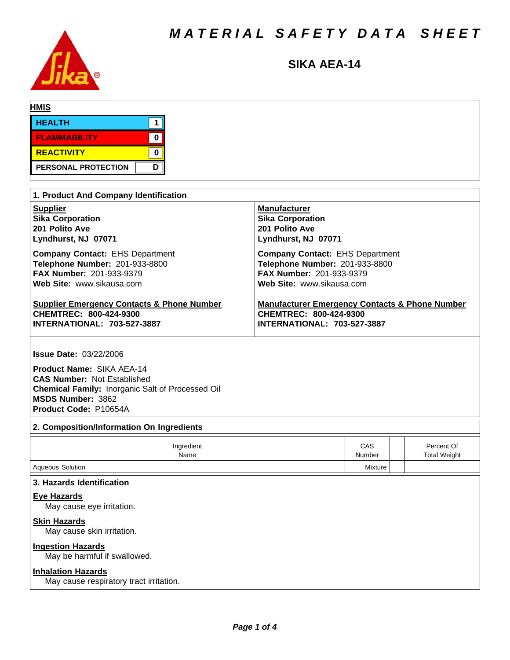

# **SIKA AEA-14**

| <b>HMIS</b>                           |             |                         |  |  |
|---------------------------------------|-------------|-------------------------|--|--|
| <b>HEALTH</b>                         |             |                         |  |  |
| <b>FLAMMABILITY</b>                   | $\mathbf 0$ |                         |  |  |
| <b>REACTIVITY</b>                     | U           |                         |  |  |
| PERSONAL PROTECTION                   | D           |                         |  |  |
|                                       |             |                         |  |  |
| 1. Product And Company Identification |             |                         |  |  |
| <b>Supplier</b>                       |             | <b>Manufacturer</b>     |  |  |
| <b>Sika Corporation</b>               |             | <b>Sika Corporation</b> |  |  |

| 201 Polito Ave                                        | 201 Polito Ave                                            |
|-------------------------------------------------------|-----------------------------------------------------------|
| Lyndhurst, NJ 07071                                   | Lyndhurst, NJ 07071                                       |
| <b>Company Contact: EHS Department</b>                | <b>Company Contact: EHS Department</b>                    |
| Telephone Number: 201-933-8800                        | Telephone Number: 201-933-8800                            |
| <b>FAX Number: 201-933-9379</b>                       | <b>FAX Number: 201-933-9379</b>                           |
| Web Site: www.sikausa.com                             | Web Site: www.sikausa.com                                 |
| <b>Supplier Emergency Contacts &amp; Phone Number</b> | <b>Manufacturer Emergency Contacts &amp; Phone Number</b> |
| CHEMTREC: 800-424-9300                                | CHEMTREC: 800-424-9300                                    |
| <b>INTERNATIONAL: 703-527-3887</b>                    | <b>INTERNATIONAL: 703-527-3887</b>                        |

**Issue Date:** 03/22/2006

**Product Name: SIKA AEA-14 CAS Number:** Not Established **Chemical Family: Inorganic Salt of Processed Oil MSDS Number:** 3862 **Product Code:** P10654A

# **2. Composition/Information On Ingredients**

| Ingredient<br>Name                                                   | <b>CAS</b><br>Number | Percent Of<br><b>Total Weight</b> |
|----------------------------------------------------------------------|----------------------|-----------------------------------|
| Aqueous Solution                                                     | Mixture              |                                   |
| 3. Hazards Identification                                            |                      |                                   |
| <b>Eye Hazards</b><br>May cause eye irritation.                      |                      |                                   |
| <b>Skin Hazards</b><br>May cause skin irritation.                    |                      |                                   |
| <b>Ingestion Hazards</b><br>May be harmful if swallowed.             |                      |                                   |
| <b>Inhalation Hazards</b><br>May cause respiratory tract irritation. |                      |                                   |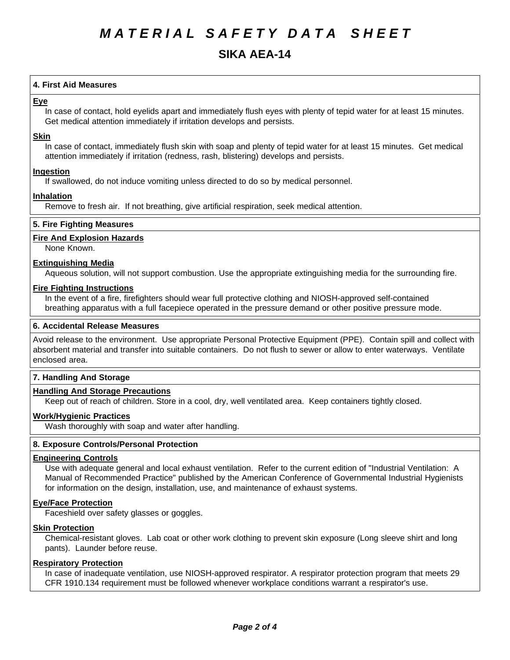# **SIKA AEA-14**

# **4.First AidMeasures**

## **Eye**

In case of contact, hold eyelids apart and immediately flush eyes with plenty of tepid water for at least 15 minutes. Get medical attention immediately if irritation develops and persists.

#### **Skin**

In case of contact, immediately flush skin with soap and plenty of tepid water for at least 15 minutes. Get medical attention immediately if irritation (redness, rash, blistering) develops and persists.

## **Ingestion**

If swallowed, do not induce vomiting unless directed to do so by medical personnel.

## **Inhalation**

Remove to fresh air. If not breathing, give artificial respiration, seek medical attention.

## **5. Fire Fighting Measures**

#### **Fire And Explosion Hazards**

None Known.

#### **Extinguishing Media**

Aqueous solution, will not support combustion. Use the appropriate extinguishing media for the surrounding fire.

#### **Fire Fighting Instructions**

In the event of a fire, firefighters should wear full protective clothing and NIOSH-approved self-contained breathing apparatus with a full facepiece operated in the pressure demand or other positive pressure mode.

#### **6. Accidental Release Measures**

Avoid release to the environment. Use appropriate Personal Protective Equipment (PPE). Contain spill and collect with absorbent material and transfer into suitable containers. Do not flush to sewer or allow to enter waterways. Ventilate enclosed area.

## **7. Handling And Storage**

#### **Handling And Storage Precautions**

Keep out of reach of children. Store in a cool, dry, well ventilated area. Keep containers tightly closed.

#### **Work/Hygienic Practices**

Wash thoroughly with soap and water after handling.

#### **8. Exposure Controls/Personal Protection**

#### **Engineering Controls**

Use with adequate general and local exhaust ventilation. Refer to the current edition of "Industrial Ventilation: A Manual of Recommended Practice" published by the American Conference of Governmental Industrial Hygienists for information on the design, installation, use, and maintenance of exhaust systems.

#### **Eye/Face Protection**

Faceshield over safety glasses or goggles.

#### **Skin Protection**

Chemical-resistant gloves. Lab coat or other work clothing to prevent skin exposure (Long sleeve shirt and long pants). Launder before reuse.

# **Respiratory Protection**

In case of inadequate ventilation, use NIOSH-approved respirator. A respirator protection program that meets 29 CFR 1910.134 requirement must be followed whenever workplace conditions warrant a respirator's use.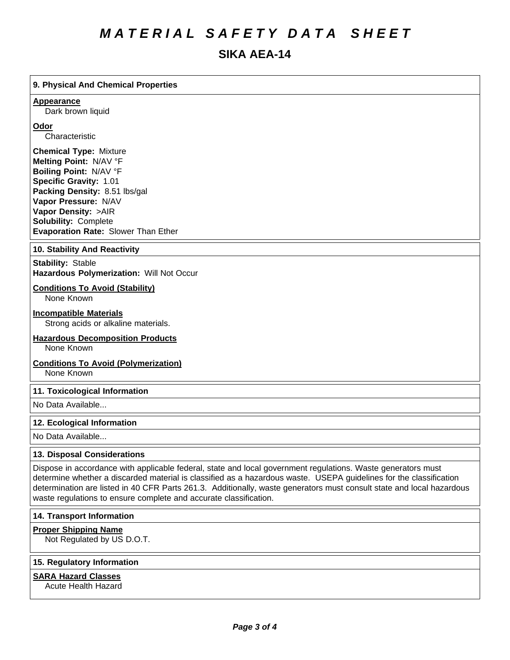# *MATERIAL SAFETY DATA SHEET*

# **SIKA AEA-14**

# **9. PhysicalAnd Chemical Properties**

#### **Appearance**

Dark brown liquid

#### **Odor**

Characteristic

**Chemical Type:** Mixture **Melting Point:** N/AV°F **Boiling Point:** N/AV°F **Specific Gravity:** 1.01 **Packing Density:** 8.51 lbs/gal **Vapor Pressure:** N/AV **Vapor Density:** >AIR **Solubility: Complete Evaporation Rate:** Slower Than Ether

#### **10. Stability And Reactivity**

**Stability: Stable Hazardous Polymerization: Will Not Occur** 

# **Conditions To Avoid (Stability)**

None Known

#### **Incompatible Materials**

Strong acids or alkaline materials.

# **Hazardous Decomposition Products**

None Known

#### **Conditions To Avoid (Polymerization)**

None Known

#### **11. Toxicological Information**

No Data Available...

#### **12. Ecological Information**

No Data Available...

# **13. Disposal Considerations**

Dispose in accordance with applicable federal, state and local government regulations. Waste generators must determine whether a discarded material is classified as a hazardous waste. USEPA guidelines for the classification determination are listed in 40 CFR Parts 261.3. Additionally, waste generators must consult state and local hazardous waste regulations to ensure complete and accurate classification.

# **14. Transport Information**

#### **Proper Shipping Name**

Not Regulated by US D.O.T.

## **15. Regulatory Information**

#### **SARA Hazard Classes**

Acute Health Hazard